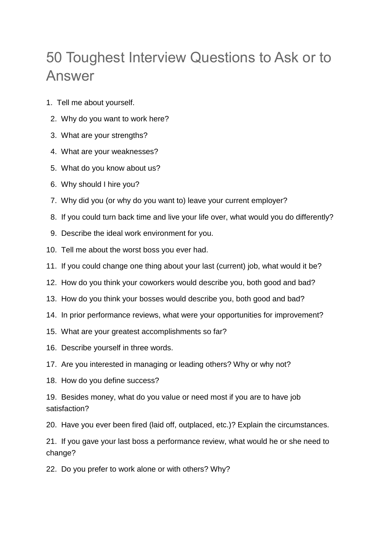## 50 Toughest Interview Questions to Ask or to Answer

- 1. Tell me about yourself.
- 2. Why do you want to work here?
- 3. What are your strengths?
- 4. What are your weaknesses?
- 5. What do you know about us?
- 6. Why should I hire you?
- 7. Why did you (or why do you want to) leave your current employer?
- 8. If you could turn back time and live your life over, what would you do differently?
- 9. Describe the ideal work environment for you.
- 10. Tell me about the worst boss you ever had.
- 11. If you could change one thing about your last (current) job, what would it be?
- 12. How do you think your coworkers would describe you, both good and bad?
- 13. How do you think your bosses would describe you, both good and bad?
- 14. In prior performance reviews, what were your opportunities for improvement?
- 15. What are your greatest accomplishments so far?
- 16. Describe yourself in three words.
- 17. Are you interested in managing or leading others? Why or why not?
- 18. How do you define success?
- 19. Besides money, what do you value or need most if you are to have job satisfaction?
- 20. Have you ever been fired (laid off, outplaced, etc.)? Explain the circumstances.
- 21. If you gave your last boss a performance review, what would he or she need to change?
- 22. Do you prefer to work alone or with others? Why?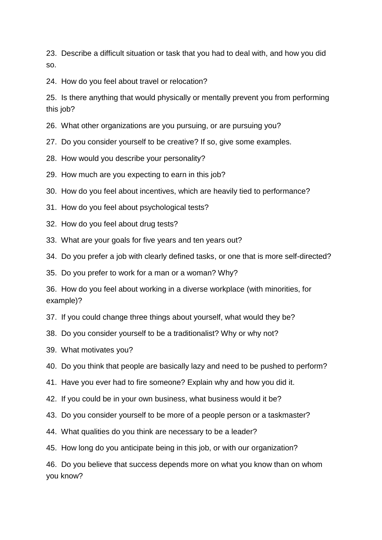23. Describe a difficult situation or task that you had to deal with, and how you did so.

24. How do you feel about travel or relocation?

25. Is there anything that would physically or mentally prevent you from performing this job?

26. What other organizations are you pursuing, or are pursuing you?

27. Do you consider yourself to be creative? If so, give some examples.

- 28. How would you describe your personality?
- 29. How much are you expecting to earn in this job?
- 30. How do you feel about incentives, which are heavily tied to performance?
- 31. How do you feel about psychological tests?
- 32. How do you feel about drug tests?
- 33. What are your goals for five years and ten years out?
- 34. Do you prefer a job with clearly defined tasks, or one that is more self-directed?

35. Do you prefer to work for a man or a woman? Why?

36. How do you feel about working in a diverse workplace (with minorities, for example)?

- 37. If you could change three things about yourself, what would they be?
- 38. Do you consider yourself to be a traditionalist? Why or why not?
- 39. What motivates you?
- 40. Do you think that people are basically lazy and need to be pushed to perform?
- 41. Have you ever had to fire someone? Explain why and how you did it.
- 42. If you could be in your own business, what business would it be?
- 43. Do you consider yourself to be more of a people person or a taskmaster?
- 44. What qualities do you think are necessary to be a leader?
- 45. How long do you anticipate being in this job, or with our organization?

46. Do you believe that success depends more on what you know than on whom you know?